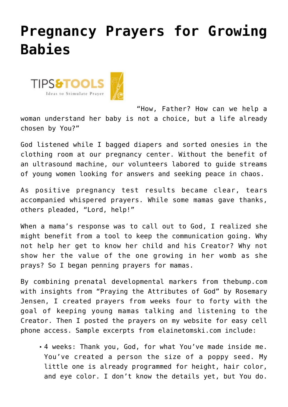## **[Pregnancy Prayers for Growing](https://www.prayerleader.com/pregnancy-prayers-for-growing-babies/) [Babies](https://www.prayerleader.com/pregnancy-prayers-for-growing-babies/)**



"How, Father? How can we help a woman understand her baby is not a choice, but a life already chosen by You?"

God listened while I bagged diapers and sorted onesies in the clothing room at our pregnancy center. Without the benefit of an ultrasound machine, our volunteers labored to guide streams of young women looking for answers and seeking peace in chaos.

As positive pregnancy test results became clear, tears accompanied whispered prayers. While some mamas gave thanks, others pleaded, "Lord, help!"

When a mama's response was to call out to God, I realized she might benefit from a tool to keep the communication going. Why not help her get to know her child and his Creator? Why not show her the value of the one growing in her womb as she prays? So I began penning prayers for mamas.

By combining prenatal developmental markers from [thebump.com](http://thebump.com) with insights from "Praying the Attributes of God" by Rosemary Jensen, I created prayers from weeks four to forty with the goal of keeping young mamas talking and listening to the Creator. Then I posted the prayers on my website for easy cell phone access. Sample excerpts from [elainetomski.com](http://elainetomski.com) include:

4 weeks: Thank you, God, for what You've made inside me. You've created a person the size of a poppy seed. My little one is already programmed for height, hair color, and eye color. I don't know the details yet, but You do.